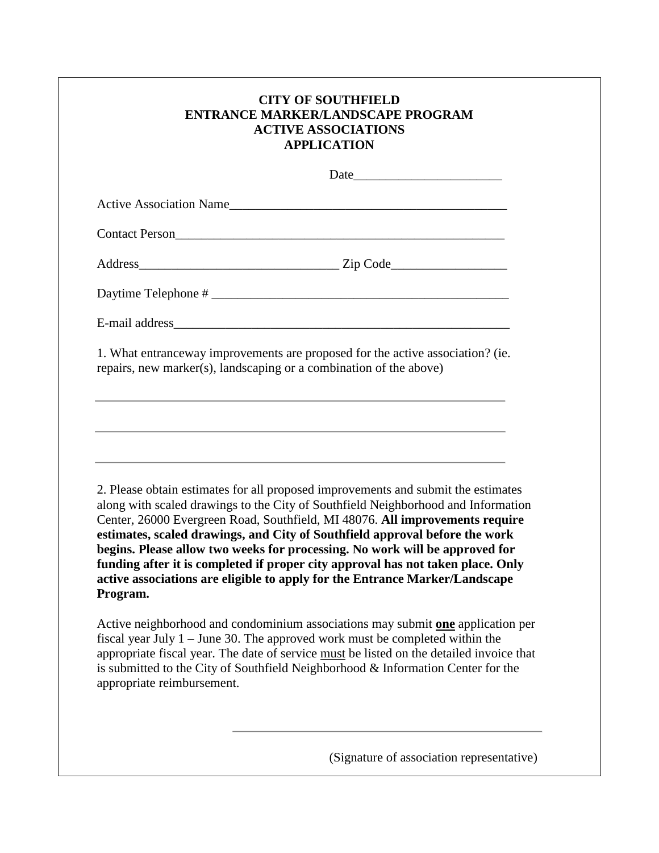|                            | <b>CITY OF SOUTHFIELD</b><br><b>ENTRANCE MARKER/LANDSCAPE PROGRAM</b><br><b>ACTIVE ASSOCIATIONS</b><br><b>APPLICATION</b>                                                                                                                                                                                                                                                                                                                                                                                                                                                              |
|----------------------------|----------------------------------------------------------------------------------------------------------------------------------------------------------------------------------------------------------------------------------------------------------------------------------------------------------------------------------------------------------------------------------------------------------------------------------------------------------------------------------------------------------------------------------------------------------------------------------------|
|                            |                                                                                                                                                                                                                                                                                                                                                                                                                                                                                                                                                                                        |
|                            | Active Association Name                                                                                                                                                                                                                                                                                                                                                                                                                                                                                                                                                                |
|                            |                                                                                                                                                                                                                                                                                                                                                                                                                                                                                                                                                                                        |
|                            |                                                                                                                                                                                                                                                                                                                                                                                                                                                                                                                                                                                        |
|                            |                                                                                                                                                                                                                                                                                                                                                                                                                                                                                                                                                                                        |
|                            |                                                                                                                                                                                                                                                                                                                                                                                                                                                                                                                                                                                        |
|                            | 1. What entrance way improvements are proposed for the active association? (ie.<br>repairs, new marker(s), landscaping or a combination of the above)<br>,我们也不能在这里的时候,我们也不能在这里的时候,我们也不能会在这里的时候,我们也不能会在这里的时候,我们也不能会在这里的时候,我们也不能会在这里的时候,我们也                                                                                                                                                                                                                                                                                                                                              |
| Program.                   | 2. Please obtain estimates for all proposed improvements and submit the estimates<br>along with scaled drawings to the City of Southfield Neighborhood and Information<br>Center, 26000 Evergreen Road, Southfield, MI 48076. All improvements require<br>estimates, scaled drawings, and City of Southfield approval before the work<br>begins. Please allow two weeks for processing. No work will be approved for<br>funding after it is completed if proper city approval has not taken place. Only<br>active associations are eligible to apply for the Entrance Marker/Landscape |
| appropriate reimbursement. | Active neighborhood and condominium associations may submit one application per<br>fiscal year July $1 -$ June 30. The approved work must be completed within the<br>appropriate fiscal year. The date of service must be listed on the detailed invoice that<br>is submitted to the City of Southfield Neighborhood & Information Center for the                                                                                                                                                                                                                                      |

(Signature of association representative)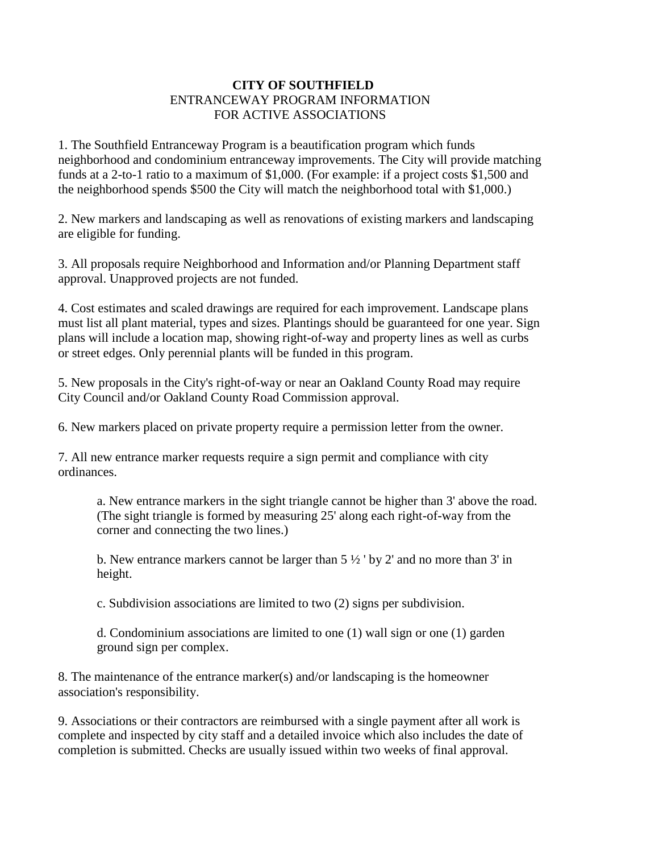## **CITY OF SOUTHFIELD** ENTRANCEWAY PROGRAM INFORMATION FOR ACTIVE ASSOCIATIONS

1. The Southfield Entranceway Program is a beautification program which funds neighborhood and condominium entranceway improvements. The City will provide matching funds at a 2-to-1 ratio to a maximum of \$1,000. (For example: if a project costs \$1,500 and the neighborhood spends \$500 the City will match the neighborhood total with \$1,000.)

2. New markers and landscaping as well as renovations of existing markers and landscaping are eligible for funding.

3. All proposals require Neighborhood and Information and/or Planning Department staff approval. Unapproved projects are not funded.

4. Cost estimates and scaled drawings are required for each improvement. Landscape plans must list all plant material, types and sizes. Plantings should be guaranteed for one year. Sign plans will include a location map, showing right-of-way and property lines as well as curbs or street edges. Only perennial plants will be funded in this program.

5. New proposals in the City's right-of-way or near an Oakland County Road may require City Council and/or Oakland County Road Commission approval.

6. New markers placed on private property require a permission letter from the owner.

7. All new entrance marker requests require a sign permit and compliance with city ordinances.

a. New entrance markers in the sight triangle cannot be higher than 3' above the road. (The sight triangle is formed by measuring 25' along each right-of-way from the corner and connecting the two lines.)

b. New entrance markers cannot be larger than  $5\frac{1}{2}$  by 2' and no more than 3' in height.

c. Subdivision associations are limited to two (2) signs per subdivision.

d. Condominium associations are limited to one (1) wall sign or one (1) garden ground sign per complex.

8. The maintenance of the entrance marker(s) and/or landscaping is the homeowner association's responsibility.

9. Associations or their contractors are reimbursed with a single payment after all work is complete and inspected by city staff and a detailed invoice which also includes the date of completion is submitted. Checks are usually issued within two weeks of final approval.